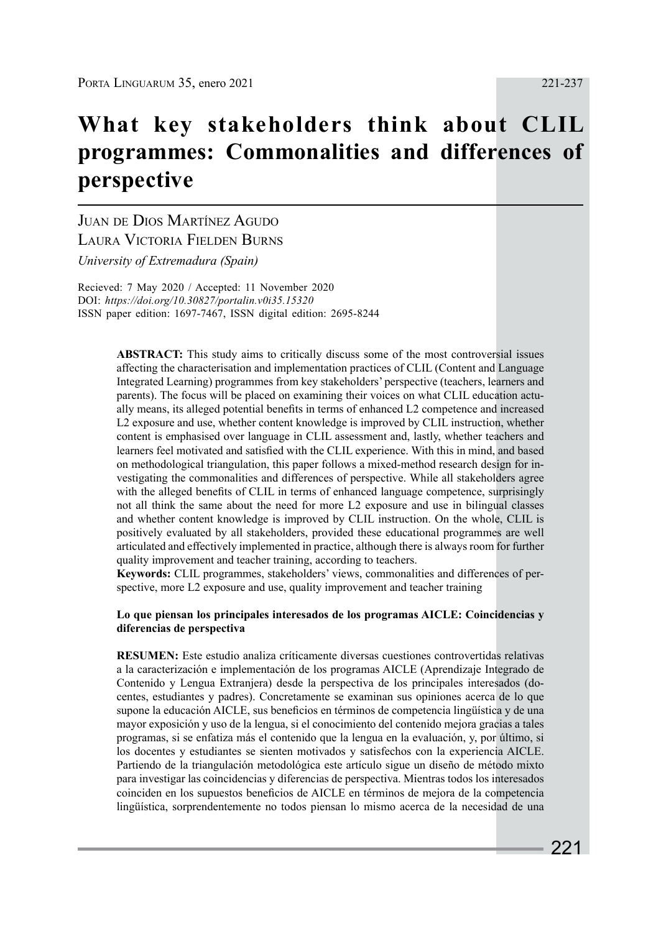# **What key stakeholders think about CLIL programmes: Commonalities and differences of perspective**

Juan de Dios Martínez Agudo Laura Victoria Fielden Burns *University of Extremadura (Spain)*

Recieved: 7 May 2020 / Accepted: 11 November 2020 DOI: *https://doi.org/10.30827/portalin.v0i35.15320* ISSN paper edition: 1697-7467, ISSN digital edition: 2695-8244

> **ABSTRACT:** This study aims to critically discuss some of the most controversial issues affecting the characterisation and implementation practices of CLIL (Content and Language Integrated Learning) programmes from key stakeholders' perspective (teachers, learners and parents). The focus will be placed on examining their voices on what CLIL education actually means, its alleged potential benefits in terms of enhanced L2 competence and increased L2 exposure and use, whether content knowledge is improved by CLIL instruction, whether content is emphasised over language in CLIL assessment and, lastly, whether teachers and learners feel motivated and satisfied with the CLIL experience. With this in mind, and based on methodological triangulation, this paper follows a mixed-method research design for investigating the commonalities and differences of perspective. While all stakeholders agree with the alleged benefits of CLIL in terms of enhanced language competence, surprisingly not all think the same about the need for more L2 exposure and use in bilingual classes and whether content knowledge is improved by CLIL instruction. On the whole, CLIL is positively evaluated by all stakeholders, provided these educational programmes are well articulated and effectively implemented in practice, although there is always room for further quality improvement and teacher training, according to teachers.

> **Keywords:** CLIL programmes, stakeholders' views, commonalities and differences of perspective, more L2 exposure and use, quality improvement and teacher training

#### **Lo que piensan los principales interesados de los programas AICLE: Coincidencias y diferencias de perspectiva**

**RESUMEN:** Este estudio analiza críticamente diversas cuestiones controvertidas relativas a la caracterización e implementación de los programas AICLE (Aprendizaje Integrado de Contenido y Lengua Extranjera) desde la perspectiva de los principales interesados (docentes, estudiantes y padres). Concretamente se examinan sus opiniones acerca de lo que supone la educación AICLE, sus beneficios en términos de competencia lingüística y de una mayor exposición y uso de la lengua, si el conocimiento del contenido mejora gracias a tales programas, si se enfatiza más el contenido que la lengua en la evaluación, y, por último, si los docentes y estudiantes se sienten motivados y satisfechos con la experiencia AICLE. Partiendo de la triangulación metodológica este artículo sigue un diseño de método mixto para investigar las coincidencias y diferencias de perspectiva. Mientras todos los interesados coinciden en los supuestos beneficios de AICLE en términos de mejora de la competencia lingüística, sorprendentemente no todos piensan lo mismo acerca de la necesidad de una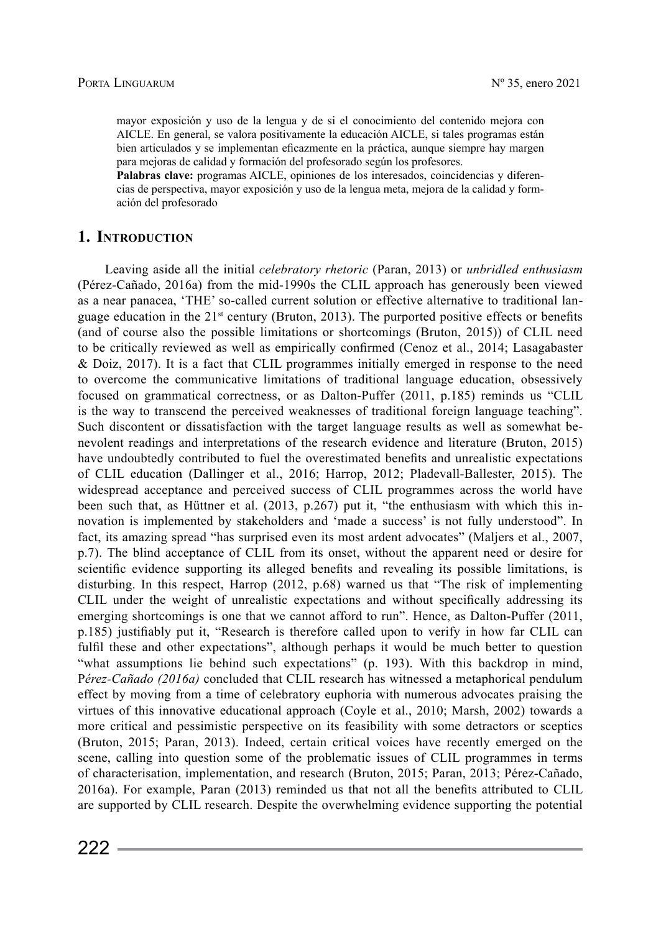mayor exposición y uso de la lengua y de si el conocimiento del contenido mejora con AICLE. En general, se valora positivamente la educación AICLE, si tales programas están bien articulados y se implementan eficazmente en la práctica, aunque siempre hay margen para mejoras de calidad y formación del profesorado según los profesores.

Palabras clave: programas AICLE, opiniones de los interesados, coincidencias y diferencias de perspectiva, mayor exposición y uso de la lengua meta, mejora de la calidad y formación del profesorado

# **1. Introduction**

Leaving aside all the initial *celebratory rhetoric* (Paran, 2013) or *unbridled enthusiasm* (Pérez-Cañado, 2016a) from the mid-1990s the CLIL approach has generously been viewed as a near panacea, 'THE' so-called current solution or effective alternative to traditional language education in the  $21^{st}$  century (Bruton, 2013). The purported positive effects or benefits (and of course also the possible limitations or shortcomings (Bruton, 2015)) of CLIL need to be critically reviewed as well as empirically confirmed (Cenoz et al., 2014; Lasagabaster & Doiz, 2017). It is a fact that CLIL programmes initially emerged in response to the need to overcome the communicative limitations of traditional language education, obsessively focused on grammatical correctness, or as Dalton-Puffer (2011, p.185) reminds us "CLIL is the way to transcend the perceived weaknesses of traditional foreign language teaching". Such discontent or dissatisfaction with the target language results as well as somewhat benevolent readings and interpretations of the research evidence and literature (Bruton, 2015) have undoubtedly contributed to fuel the overestimated benefits and unrealistic expectations of CLIL education (Dallinger et al., 2016; Harrop, 2012; Pladevall-Ballester, 2015). The widespread acceptance and perceived success of CLIL programmes across the world have been such that, as Hüttner et al. (2013, p.267) put it, "the enthusiasm with which this innovation is implemented by stakeholders and 'made a success' is not fully understood". In fact, its amazing spread "has surprised even its most ardent advocates" (Maljers et al., 2007, p.7). The blind acceptance of CLIL from its onset, without the apparent need or desire for scientific evidence supporting its alleged benefits and revealing its possible limitations, is disturbing. In this respect, Harrop (2012, p.68) warned us that "The risk of implementing CLIL under the weight of unrealistic expectations and without specifically addressing its emerging shortcomings is one that we cannot afford to run". Hence, as Dalton-Puffer (2011, p.185) justifiably put it, "Research is therefore called upon to verify in how far CLIL can fulfil these and other expectations", although perhaps it would be much better to question "what assumptions lie behind such expectations" (p. 193). With this backdrop in mind, P*érez-Cañado (2016a)* concluded that CLIL research has witnessed a metaphorical pendulum effect by moving from a time of celebratory euphoria with numerous advocates praising the virtues of this innovative educational approach (Coyle et al., 2010; Marsh, 2002) towards a more critical and pessimistic perspective on its feasibility with some detractors or sceptics (Bruton, 2015; Paran, 2013). Indeed, certain critical voices have recently emerged on the scene, calling into question some of the problematic issues of CLIL programmes in terms of characterisation, implementation, and research (Bruton, 2015; Paran, 2013; Pérez-Cañado, 2016a). For example, Paran (2013) reminded us that not all the benefits attributed to CLIL are supported by CLIL research. Despite the overwhelming evidence supporting the potential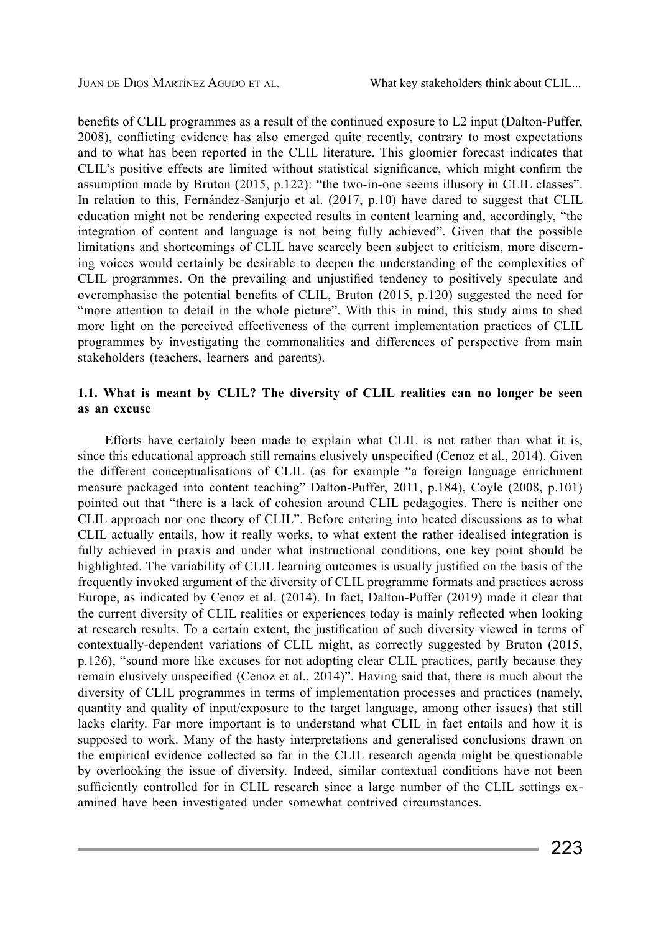benefits of CLIL programmes as a result of the continued exposure to L2 input (Dalton-Puffer, 2008), conflicting evidence has also emerged quite recently, contrary to most expectations and to what has been reported in the CLIL literature. This gloomier forecast indicates that CLIL's positive effects are limited without statistical significance, which might confirm the assumption made by Bruton (2015, p.122): "the two-in-one seems illusory in CLIL classes". In relation to this, Fernández-Sanjurjo et al. (2017, p.10) have dared to suggest that CLIL education might not be rendering expected results in content learning and, accordingly, "the integration of content and language is not being fully achieved". Given that the possible limitations and shortcomings of CLIL have scarcely been subject to criticism, more discerning voices would certainly be desirable to deepen the understanding of the complexities of CLIL programmes. On the prevailing and unjustified tendency to positively speculate and overemphasise the potential benefits of CLIL, Bruton (2015, p.120) suggested the need for "more attention to detail in the whole picture". With this in mind, this study aims to shed more light on the perceived effectiveness of the current implementation practices of CLIL programmes by investigating the commonalities and differences of perspective from main stakeholders (teachers, learners and parents).

# **1.1. What is meant by CLIL? The diversity of CLIL realities can no longer be seen as an excuse**

Efforts have certainly been made to explain what CLIL is not rather than what it is, since this educational approach still remains elusively unspecified (Cenoz et al., 2014). Given the different conceptualisations of CLIL (as for example "a foreign language enrichment measure packaged into content teaching" Dalton-Puffer, 2011, p.184), Coyle (2008, p.101) pointed out that "there is a lack of cohesion around CLIL pedagogies. There is neither one CLIL approach nor one theory of CLIL". Before entering into heated discussions as to what CLIL actually entails, how it really works, to what extent the rather idealised integration is fully achieved in praxis and under what instructional conditions, one key point should be highlighted. The variability of CLIL learning outcomes is usually justified on the basis of the frequently invoked argument of the diversity of CLIL programme formats and practices across Europe, as indicated by Cenoz et al. (2014). In fact, Dalton-Puffer (2019) made it clear that the current diversity of CLIL realities or experiences today is mainly reflected when looking at research results. To a certain extent, the justification of such diversity viewed in terms of contextually-dependent variations of CLIL might, as correctly suggested by Bruton (2015, p.126), "sound more like excuses for not adopting clear CLIL practices, partly because they remain elusively unspecified (Cenoz et al., 2014)". Having said that, there is much about the diversity of CLIL programmes in terms of implementation processes and practices (namely, quantity and quality of input/exposure to the target language, among other issues) that still lacks clarity. Far more important is to understand what CLIL in fact entails and how it is supposed to work. Many of the hasty interpretations and generalised conclusions drawn on the empirical evidence collected so far in the CLIL research agenda might be questionable by overlooking the issue of diversity. Indeed, similar contextual conditions have not been sufficiently controlled for in CLIL research since a large number of the CLIL settings examined have been investigated under somewhat contrived circumstances.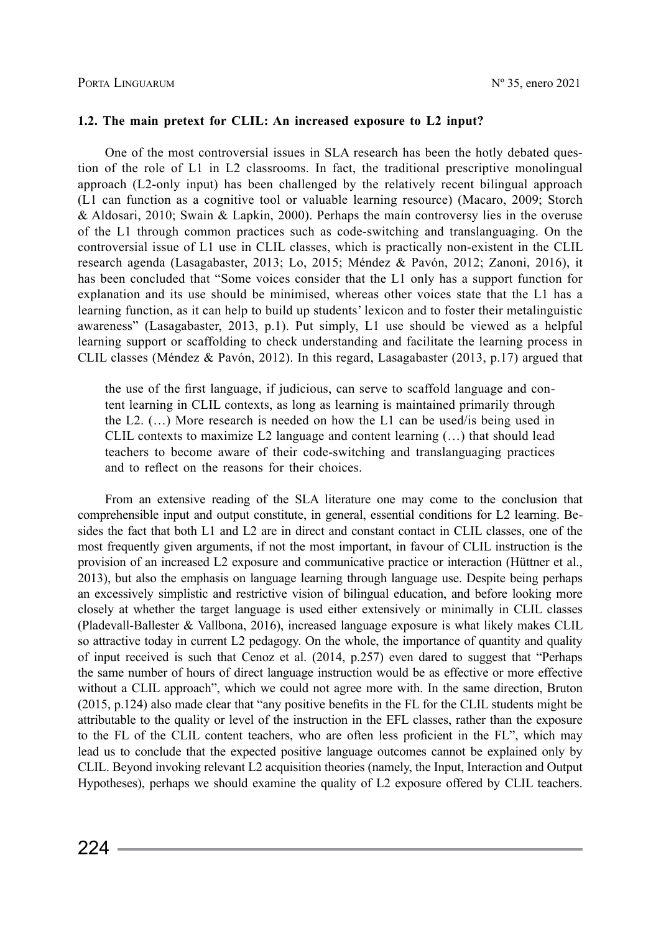## **1.2. The main pretext for CLIL: An increased exposure to L2 input?**

One of the most controversial issues in SLA research has been the hotly debated question of the role of L1 in L2 classrooms. In fact, the traditional prescriptive monolingual approach (L2-only input) has been challenged by the relatively recent bilingual approach (L1 can function as a cognitive tool or valuable learning resource) (Macaro, 2009; Storch & Aldosari, 2010; Swain & Lapkin, 2000). Perhaps the main controversy lies in the overuse of the L1 through common practices such as code-switching and translanguaging. On the controversial issue of L1 use in CLIL classes, which is practically non-existent in the CLIL research agenda (Lasagabaster, 2013; Lo, 2015; Méndez & Pavón, 2012; Zanoni, 2016), it has been concluded that "Some voices consider that the L1 only has a support function for explanation and its use should be minimised, whereas other voices state that the L1 has a learning function, as it can help to build up students' lexicon and to foster their metalinguistic awareness" (Lasagabaster, 2013, p.1). Put simply, L1 use should be viewed as a helpful learning support or scaffolding to check understanding and facilitate the learning process in CLIL classes (Méndez & Pavón, 2012). In this regard, Lasagabaster (2013, p.17) argued that

the use of the first language, if judicious, can serve to scaffold language and content learning in CLIL contexts, as long as learning is maintained primarily through the L2. (…) More research is needed on how the L1 can be used/is being used in CLIL contexts to maximize L2 language and content learning (…) that should lead teachers to become aware of their code-switching and translanguaging practices and to reflect on the reasons for their choices.

From an extensive reading of the SLA literature one may come to the conclusion that comprehensible input and output constitute, in general, essential conditions for L2 learning. Besides the fact that both L1 and L2 are in direct and constant contact in CLIL classes, one of the most frequently given arguments, if not the most important, in favour of CLIL instruction is the provision of an increased L2 exposure and communicative practice or interaction (Hüttner et al., 2013), but also the emphasis on language learning through language use. Despite being perhaps an excessively simplistic and restrictive vision of bilingual education, and before looking more closely at whether the target language is used either extensively or minimally in CLIL classes (Pladevall-Ballester & Vallbona, 2016), increased language exposure is what likely makes CLIL so attractive today in current L2 pedagogy. On the whole, the importance of quantity and quality of input received is such that Cenoz et al. (2014, p.257) even dared to suggest that "Perhaps the same number of hours of direct language instruction would be as effective or more effective without a CLIL approach", which we could not agree more with. In the same direction, Bruton (2015, p.124) also made clear that "any positive benefits in the FL for the CLIL students might be attributable to the quality or level of the instruction in the EFL classes, rather than the exposure to the FL of the CLIL content teachers, who are often less proficient in the FL", which may lead us to conclude that the expected positive language outcomes cannot be explained only by CLIL. Beyond invoking relevant L2 acquisition theories (namely, the Input, Interaction and Output Hypotheses), perhaps we should examine the quality of L2 exposure offered by CLIL teachers.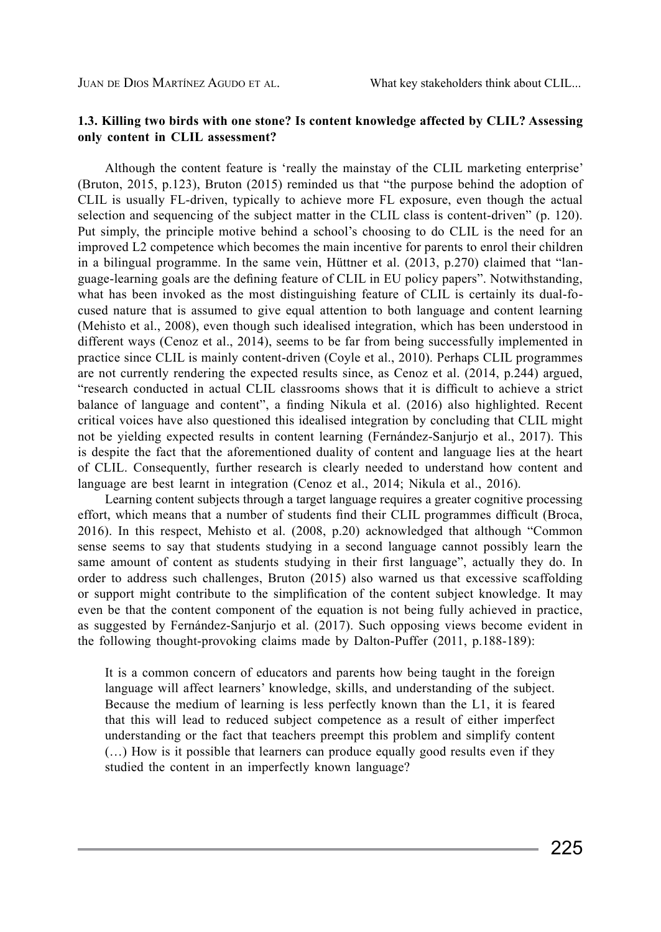## **1.3. Killing two birds with one stone? Is content knowledge affected by CLIL? Assessing only content in CLIL assessment?**

Although the content feature is 'really the mainstay of the CLIL marketing enterprise' (Bruton, 2015, p.123), Bruton (2015) reminded us that "the purpose behind the adoption of CLIL is usually FL-driven, typically to achieve more FL exposure, even though the actual selection and sequencing of the subject matter in the CLIL class is content-driven" (p. 120). Put simply, the principle motive behind a school's choosing to do CLIL is the need for an improved L2 competence which becomes the main incentive for parents to enrol their children in a bilingual programme. In the same vein, Hüttner et al. (2013, p.270) claimed that "language-learning goals are the defining feature of CLIL in EU policy papers". Notwithstanding, what has been invoked as the most distinguishing feature of CLIL is certainly its dual-focused nature that is assumed to give equal attention to both language and content learning (Mehisto et al., 2008), even though such idealised integration, which has been understood in different ways (Cenoz et al., 2014), seems to be far from being successfully implemented in practice since CLIL is mainly content-driven (Coyle et al., 2010). Perhaps CLIL programmes are not currently rendering the expected results since, as Cenoz et al. (2014, p.244) argued, "research conducted in actual CLIL classrooms shows that it is difficult to achieve a strict balance of language and content", a finding Nikula et al. (2016) also highlighted. Recent critical voices have also questioned this idealised integration by concluding that CLIL might not be yielding expected results in content learning (Fernández-Sanjurjo et al., 2017). This is despite the fact that the aforementioned duality of content and language lies at the heart of CLIL. Consequently, further research is clearly needed to understand how content and language are best learnt in integration (Cenoz et al., 2014; Nikula et al., 2016).

Learning content subjects through a target language requires a greater cognitive processing effort, which means that a number of students find their CLIL programmes difficult (Broca, 2016). In this respect, Mehisto et al. (2008, p.20) acknowledged that although "Common sense seems to say that students studying in a second language cannot possibly learn the same amount of content as students studying in their first language", actually they do. In order to address such challenges, Bruton (2015) also warned us that excessive scaffolding or support might contribute to the simplification of the content subject knowledge. It may even be that the content component of the equation is not being fully achieved in practice, as suggested by Fernández-Sanjurjo et al. (2017). Such opposing views become evident in the following thought-provoking claims made by Dalton-Puffer (2011, p.188-189):

It is a common concern of educators and parents how being taught in the foreign language will affect learners' knowledge, skills, and understanding of the subject. Because the medium of learning is less perfectly known than the L1, it is feared that this will lead to reduced subject competence as a result of either imperfect understanding or the fact that teachers preempt this problem and simplify content (…) How is it possible that learners can produce equally good results even if they studied the content in an imperfectly known language?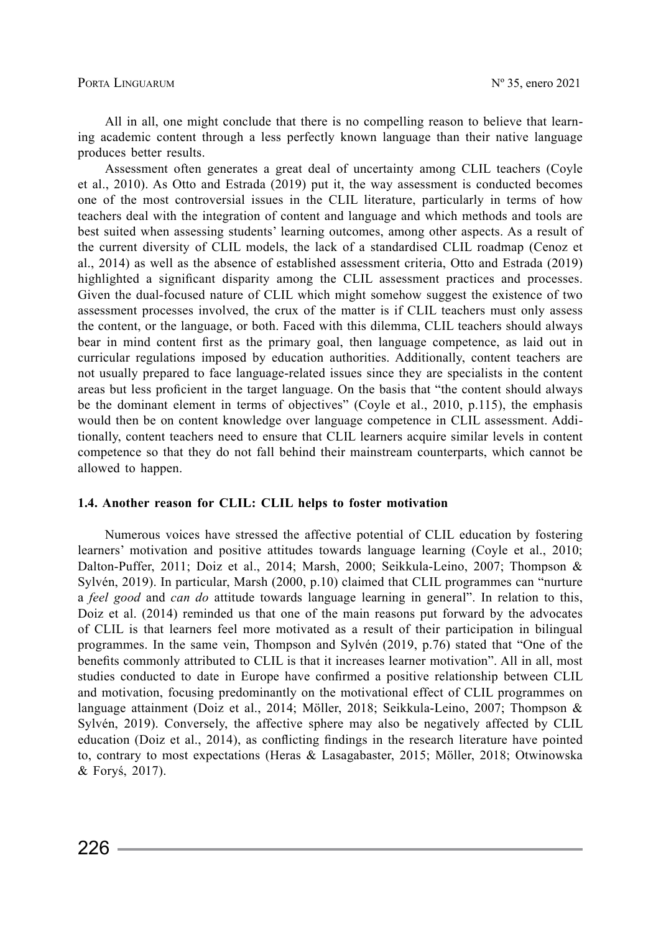All in all, one might conclude that there is no compelling reason to believe that learning academic content through a less perfectly known language than their native language produces better results.

Assessment often generates a great deal of uncertainty among CLIL teachers (Coyle et al., 2010). As Otto and Estrada (2019) put it, the way assessment is conducted becomes one of the most controversial issues in the CLIL literature, particularly in terms of how teachers deal with the integration of content and language and which methods and tools are best suited when assessing students' learning outcomes, among other aspects. As a result of the current diversity of CLIL models, the lack of a standardised CLIL roadmap (Cenoz et al., 2014) as well as the absence of established assessment criteria, Otto and Estrada (2019) highlighted a significant disparity among the CLIL assessment practices and processes. Given the dual-focused nature of CLIL which might somehow suggest the existence of two assessment processes involved, the crux of the matter is if CLIL teachers must only assess the content, or the language, or both. Faced with this dilemma, CLIL teachers should always bear in mind content first as the primary goal, then language competence, as laid out in curricular regulations imposed by education authorities. Additionally, content teachers are not usually prepared to face language-related issues since they are specialists in the content areas but less proficient in the target language. On the basis that "the content should always be the dominant element in terms of objectives" (Coyle et al., 2010, p.115), the emphasis would then be on content knowledge over language competence in CLIL assessment. Additionally, content teachers need to ensure that CLIL learners acquire similar levels in content competence so that they do not fall behind their mainstream counterparts, which cannot be allowed to happen.

#### **1.4. Another reason for CLIL: CLIL helps to foster motivation**

Numerous voices have stressed the affective potential of CLIL education by fostering learners' motivation and positive attitudes towards language learning (Coyle et al., 2010; Dalton-Puffer, 2011; Doiz et al., 2014; Marsh, 2000; Seikkula-Leino, 2007; Thompson & Sylvén, 2019). In particular, Marsh (2000, p.10) claimed that CLIL programmes can "nurture a *feel good* and *can do* attitude towards language learning in general". In relation to this, Doiz et al. (2014) reminded us that one of the main reasons put forward by the advocates of CLIL is that learners feel more motivated as a result of their participation in bilingual programmes. In the same vein, Thompson and Sylvén (2019, p.76) stated that "One of the benefits commonly attributed to CLIL is that it increases learner motivation". All in all, most studies conducted to date in Europe have confirmed a positive relationship between CLIL and motivation, focusing predominantly on the motivational effect of CLIL programmes on language attainment (Doiz et al., 2014; Möller, 2018; Seikkula-Leino, 2007; Thompson & Sylvén, 2019). Conversely, the affective sphere may also be negatively affected by CLIL education (Doiz et al., 2014), as conflicting findings in the research literature have pointed to, contrary to most expectations (Heras & Lasagabaster, 2015; Möller, 2018; Otwinowska & Foryś, 2017).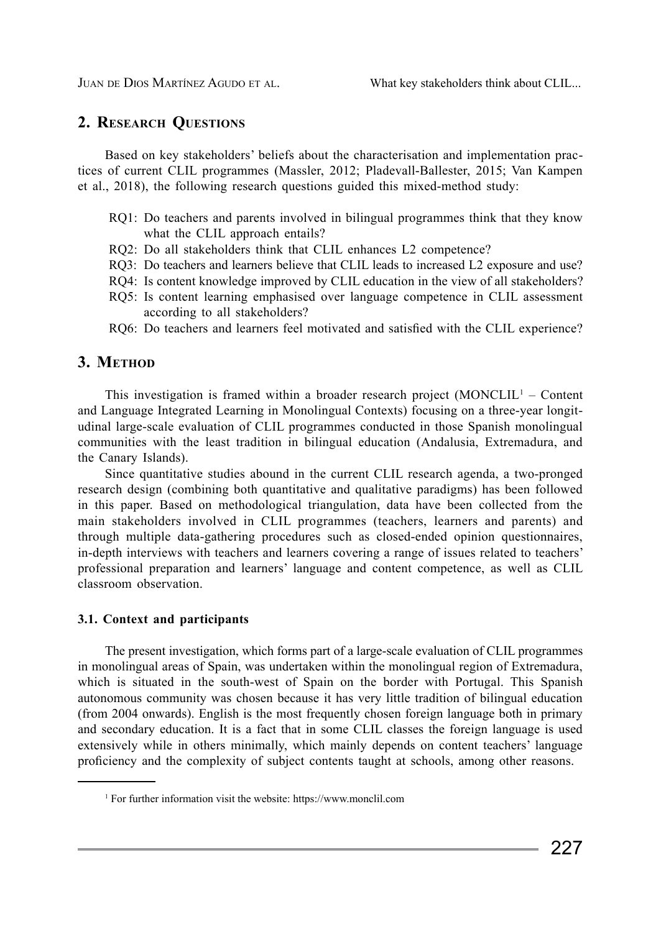# **2. Research Questions**

Based on key stakeholders' beliefs about the characterisation and implementation practices of current CLIL programmes (Massler, 2012; Pladevall-Ballester, 2015; Van Kampen et al., 2018), the following research questions guided this mixed-method study:

- RQ1: Do teachers and parents involved in bilingual programmes think that they know what the CLIL approach entails?
- RQ2: Do all stakeholders think that CLIL enhances L2 competence?
- RQ3: Do teachers and learners believe that CLIL leads to increased L2 exposure and use?
- RQ4: Is content knowledge improved by CLIL education in the view of all stakeholders?
- RQ5: Is content learning emphasised over language competence in CLIL assessment according to all stakeholders?
- RQ6: Do teachers and learners feel motivated and satisfied with the CLIL experience?

# 3. METHOD

This investigation is framed within a broader research project  $(MONCLIL<sup>1</sup> - Content$ and Language Integrated Learning in Monolingual Contexts) focusing on a three-year longitudinal large-scale evaluation of CLIL programmes conducted in those Spanish monolingual communities with the least tradition in bilingual education (Andalusia, Extremadura, and the Canary Islands).

Since quantitative studies abound in the current CLIL research agenda, a two-pronged research design (combining both quantitative and qualitative paradigms) has been followed in this paper. Based on methodological triangulation, data have been collected from the main stakeholders involved in CLIL programmes (teachers, learners and parents) and through multiple data-gathering procedures such as closed-ended opinion questionnaires, in-depth interviews with teachers and learners covering a range of issues related to teachers' professional preparation and learners' language and content competence, as well as CLIL classroom observation.

# **3.1. Context and participants**

The present investigation, which forms part of a large-scale evaluation of CLIL programmes in monolingual areas of Spain, was undertaken within the monolingual region of Extremadura, which is situated in the south-west of Spain on the border with Portugal. This Spanish autonomous community was chosen because it has very little tradition of bilingual education (from 2004 onwards). English is the most frequently chosen foreign language both in primary and secondary education. It is a fact that in some CLIL classes the foreign language is used extensively while in others minimally, which mainly depends on content teachers' language proficiency and the complexity of subject contents taught at schools, among other reasons.

<sup>1</sup> For further information visit the website: https://www.monclil.com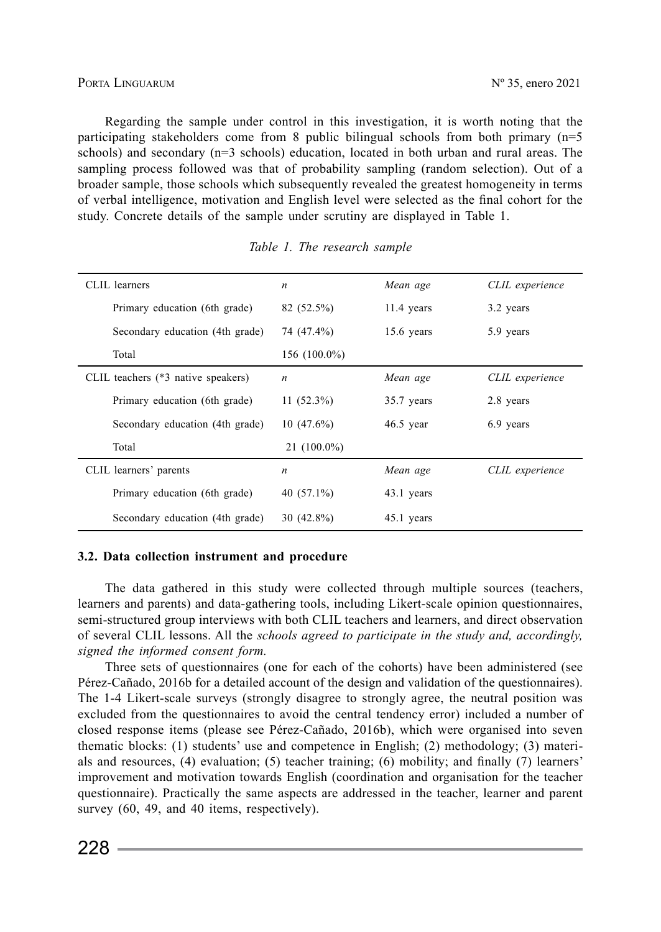Regarding the sample under control in this investigation, it is worth noting that the participating stakeholders come from 8 public bilingual schools from both primary  $(n=5)$ schools) and secondary (n=3 schools) education, located in both urban and rural areas. The sampling process followed was that of probability sampling (random selection). Out of a broader sample, those schools which subsequently revealed the greatest homogeneity in terms of verbal intelligence, motivation and English level were selected as the final cohort for the study. Concrete details of the sample under scrutiny are displayed in Table 1.

| CLIL learners                      | n             | Mean age     | CLIL experience |  |  |  |  |
|------------------------------------|---------------|--------------|-----------------|--|--|--|--|
| Primary education (6th grade)      | 82 (52.5%)    | $11.4$ years | 3.2 years       |  |  |  |  |
| Secondary education (4th grade)    | 74 (47.4%)    | $15.6$ years | 5.9 years       |  |  |  |  |
| Total                              | 156 (100.0%)  |              |                 |  |  |  |  |
| CLIL teachers (*3 native speakers) | n             | Mean age     | CLIL experience |  |  |  |  |
| Primary education (6th grade)      | $11(52.3\%)$  | 35.7 years   | 2.8 years       |  |  |  |  |
| Secondary education (4th grade)    | $10(47.6\%)$  | $46.5$ year  | 6.9 years       |  |  |  |  |
| Total                              | $21(100.0\%)$ |              |                 |  |  |  |  |
| CLIL learners' parents             | n             | Mean age     | CLIL experience |  |  |  |  |
| Primary education (6th grade)      | 40 $(57.1\%)$ | 43.1 years   |                 |  |  |  |  |
| Secondary education (4th grade)    | $30(42.8\%)$  | 45.1 years   |                 |  |  |  |  |

## *Table 1. The research sample*

#### **3.2. Data collection instrument and procedure**

The data gathered in this study were collected through multiple sources (teachers, learners and parents) and data-gathering tools, including Likert-scale opinion questionnaires, semi-structured group interviews with both CLIL teachers and learners, and direct observation of several CLIL lessons. All the *schools agreed to participate in the study and, accordingly, signed the informed consent form.*

Three sets of questionnaires (one for each of the cohorts) have been administered (see Pérez-Cañado, 2016b for a detailed account of the design and validation of the questionnaires). The 1-4 Likert-scale surveys (strongly disagree to strongly agree, the neutral position was excluded from the questionnaires to avoid the central tendency error) included a number of closed response items (please see Pérez-Cañado, 2016b), which were organised into seven thematic blocks: (1) students' use and competence in English; (2) methodology; (3) materials and resources, (4) evaluation; (5) teacher training; (6) mobility; and finally (7) learners' improvement and motivation towards English (coordination and organisation for the teacher questionnaire). Practically the same aspects are addressed in the teacher, learner and parent survey (60, 49, and 40 items, respectively).

 $228 =$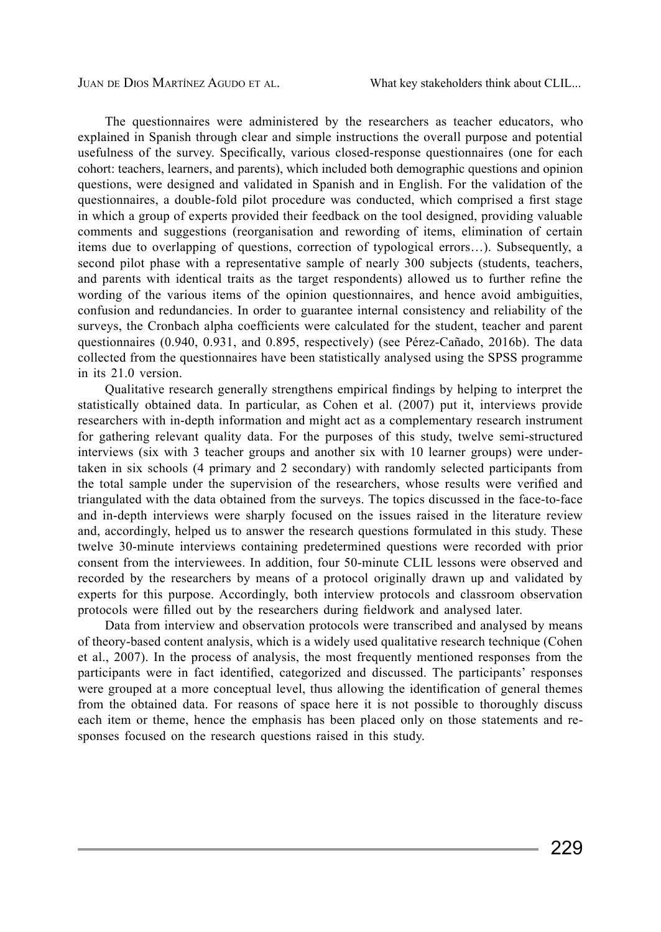Juan de Dios Martínez Agudo et al. What key stakeholders think about CLIL...

The questionnaires were administered by the researchers as teacher educators, who explained in Spanish through clear and simple instructions the overall purpose and potential usefulness of the survey. Specifically, various closed-response questionnaires (one for each cohort: teachers, learners, and parents), which included both demographic questions and opinion questions, were designed and validated in Spanish and in English. For the validation of the questionnaires, a double-fold pilot procedure was conducted, which comprised a first stage in which a group of experts provided their feedback on the tool designed, providing valuable comments and suggestions (reorganisation and rewording of items, elimination of certain items due to overlapping of questions, correction of typological errors…). Subsequently, a second pilot phase with a representative sample of nearly 300 subjects (students, teachers, and parents with identical traits as the target respondents) allowed us to further refine the wording of the various items of the opinion questionnaires, and hence avoid ambiguities, confusion and redundancies. In order to guarantee internal consistency and reliability of the surveys, the Cronbach alpha coefficients were calculated for the student, teacher and parent questionnaires (0.940, 0.931, and 0.895, respectively) (see Pérez-Cañado, 2016b). The data collected from the questionnaires have been statistically analysed using the SPSS programme in its 21.0 version.

Qualitative research generally strengthens empirical findings by helping to interpret the statistically obtained data. In particular, as Cohen et al. (2007) put it, interviews provide researchers with in-depth information and might act as a complementary research instrument for gathering relevant quality data. For the purposes of this study, twelve semi-structured interviews (six with 3 teacher groups and another six with 10 learner groups) were undertaken in six schools (4 primary and 2 secondary) with randomly selected participants from the total sample under the supervision of the researchers, whose results were verified and triangulated with the data obtained from the surveys. The topics discussed in the face-to-face and in-depth interviews were sharply focused on the issues raised in the literature review and, accordingly, helped us to answer the research questions formulated in this study. These twelve 30-minute interviews containing predetermined questions were recorded with prior consent from the interviewees. In addition, four 50-minute CLIL lessons were observed and recorded by the researchers by means of a protocol originally drawn up and validated by experts for this purpose. Accordingly, both interview protocols and classroom observation protocols were filled out by the researchers during fieldwork and analysed later.

Data from interview and observation protocols were transcribed and analysed by means of theory-based content analysis, which is a widely used qualitative research technique (Cohen et al., 2007). In the process of analysis, the most frequently mentioned responses from the participants were in fact identified, categorized and discussed. The participants' responses were grouped at a more conceptual level, thus allowing the identification of general themes from the obtained data. For reasons of space here it is not possible to thoroughly discuss each item or theme, hence the emphasis has been placed only on those statements and responses focused on the research questions raised in this study.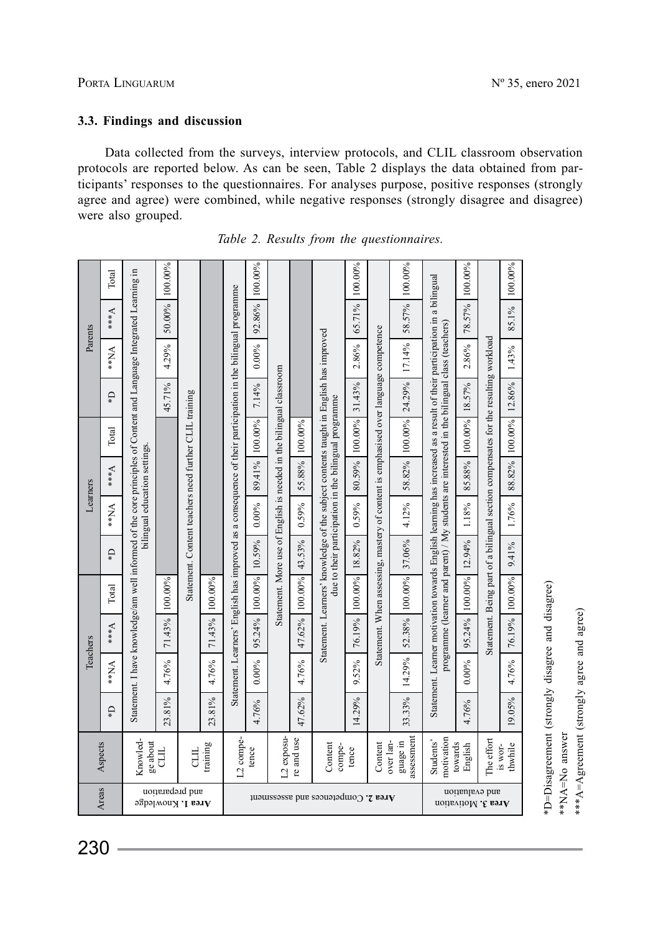## **3.3. Findings and discussion**

Data collected from the surveys, interview protocols, and CLIL classroom observation protocols are reported below. As can be seen, Table 2 displays the data obtained from participants' responses to the questionnaires. For analyses purpose, positive responses (strongly agree and agree) were combined, while negative responses (strongly disagree and disagree) were also grouped.

|          | Total             |                                                                                                                    | 100.00%                              |                                                        |        |                                           | 100.00% |         |                                     |                                               | 100.00% |            | 100.00%            |                                                                                                                        | 100.00% |         | 100.00% |          |       |       |  |       |  |                                                                                                              |        |                                                                     |        |                                                                                                                                                |        |                                                                                      |        |                                                                                               |        |                                                                                     |        |
|----------|-------------------|--------------------------------------------------------------------------------------------------------------------|--------------------------------------|--------------------------------------------------------|--------|-------------------------------------------|---------|---------|-------------------------------------|-----------------------------------------------|---------|------------|--------------------|------------------------------------------------------------------------------------------------------------------------|---------|---------|---------|----------|-------|-------|--|-------|--|--------------------------------------------------------------------------------------------------------------|--------|---------------------------------------------------------------------|--------|------------------------------------------------------------------------------------------------------------------------------------------------|--------|--------------------------------------------------------------------------------------|--------|-----------------------------------------------------------------------------------------------|--------|-------------------------------------------------------------------------------------|--------|
| Parents  | $\forall***$      | Statement. I have knowledge/am well informed of the core principles of Content and Language Integrated Learning in | 50.00%                               |                                                        |        |                                           | 92.86%  |         |                                     |                                               | 65.71%  |            | 58.57%             | Statement. Learner motivation towards English learning has increased as a result of their participation in a bilingual | 78.57%  |         | 85.1%   |          |       |       |  |       |  |                                                                                                              |        |                                                                     |        |                                                                                                                                                |        |                                                                                      |        |                                                                                               |        |                                                                                     |        |
|          | $\sum_{i=1}^{k}$  |                                                                                                                    | 4.29%                                |                                                        |        |                                           |         |         |                                     |                                               |         |            |                    |                                                                                                                        |         |         |         |          |       |       |  |       |  |                                                                                                              |        | $0.00\%$                                                            |        |                                                                                                                                                |        | 2.86%                                                                                |        | 17.14%                                                                                        |        | 2.86%                                                                               |        |
|          | $\Omega^*$        |                                                                                                                    | 45.71%                               |                                                        |        |                                           | 7.14%   |         |                                     |                                               | 31.43%  |            | 24.29%             |                                                                                                                        | 18.57%  |         | 12.86%  |          |       |       |  |       |  |                                                                                                              |        |                                                                     |        |                                                                                                                                                |        |                                                                                      |        |                                                                                               |        |                                                                                     |        |
|          | Total             |                                                                                                                    |                                      |                                                        |        |                                           | 100.00% |         | 100.00%                             |                                               | 100.00% |            | 100.00%            |                                                                                                                        | 100.00% |         | 100.00% |          |       |       |  |       |  |                                                                                                              |        |                                                                     |        |                                                                                                                                                |        |                                                                                      |        |                                                                                               |        |                                                                                     |        |
|          | $v***$            | bilingual education settings.                                                                                      |                                      |                                                        |        |                                           |         |         |                                     |                                               |         |            |                    |                                                                                                                        |         |         |         |          |       |       |  |       |  | Statement. Learners' English has improved as a consequence of their participation in the bilingual programme | 89.41% | Statement. More use of English is needed in the bilingual classroom | 55.88% | Statement. Learners' knowledge of the subject contents taught in English has improved<br>due to their participation in the bilingual programme | 80.59% | Statement. When assessing, mastery of content is emphasised over language competence | 58.82% | programme (learner and parent) / My students are interested in the bilingual class (teachers) | 85.88% | Statement. Being part of a bilingual section compensates for the resulting workload | 88.82% |
| Learners | $\forall N**$     |                                                                                                                    |                                      | Statement. Content teachers need further CLIL training |        |                                           |         |         |                                     |                                               |         |            |                    | $0.00\%$                                                                                                               |         | 0.59%   |         | $0.59\%$ |       | 4.12% |  | 1.18% |  | 1.76%                                                                                                        |        |                                                                     |        |                                                                                                                                                |        |                                                                                      |        |                                                                                               |        |                                                                                     |        |
|          | Ű*                |                                                                                                                    | 100.00%<br>71.43%                    |                                                        |        |                                           |         |         | 10.59%                              |                                               | 43.53%  |            | 18.82%             |                                                                                                                        | 37.06%  |         | 12.94%  |          | 9.41% |       |  |       |  |                                                                                                              |        |                                                                     |        |                                                                                                                                                |        |                                                                                      |        |                                                                                               |        |                                                                                     |        |
|          | Total             |                                                                                                                    |                                      |                                                        |        | 71.43% 100.00%                            |         | 100.00% |                                     | 100.00%                                       |         | 100.00%    |                    | 52.38% 100.00%                                                                                                         |         | 100.00% |         | 100.00%  |       |       |  |       |  |                                                                                                              |        |                                                                     |        |                                                                                                                                                |        |                                                                                      |        |                                                                                               |        |                                                                                     |        |
|          | $\mathbf{v}_{**}$ |                                                                                                                    |                                      |                                                        |        | 95.24%                                    |         | 47.62%  |                                     | 76.19%                                        |         |            |                    | 95.24%                                                                                                                 |         | 76.19%  |         |          |       |       |  |       |  |                                                                                                              |        |                                                                     |        |                                                                                                                                                |        |                                                                                      |        |                                                                                               |        |                                                                                     |        |
| Teachers | $N_{N**}$         |                                                                                                                    | 4.76%                                |                                                        | 4.76%  |                                           | 0.00%   |         | 4.76%                               |                                               | 9.52%   |            | 14.29%             |                                                                                                                        | 0.00%   |         | 4.76%   |          |       |       |  |       |  |                                                                                                              |        |                                                                     |        |                                                                                                                                                |        |                                                                                      |        |                                                                                               |        |                                                                                     |        |
|          | Ű*                |                                                                                                                    | 23.81%                               |                                                        | 23.81% |                                           | 4.76%   |         | 47.62%                              |                                               | 14.29%  |            | 33.33%             |                                                                                                                        | 4.76%   |         | 19.05%  |          |       |       |  |       |  |                                                                                                              |        |                                                                     |        |                                                                                                                                                |        |                                                                                      |        |                                                                                               |        |                                                                                     |        |
| Aspects  |                   | Knowled-<br>ge about<br>training<br>EЦ<br>日                                                                        |                                      | L2 exposu-<br>L2 compe-<br>re and use<br>tence         |        | Content<br>compe-<br>tence                |         | Content | assessment<br>over lan-<br>guage in | motivation<br>Students'<br>towards<br>English |         | The effort | thwhile<br>IS WOI- |                                                                                                                        |         |         |         |          |       |       |  |       |  |                                                                                                              |        |                                                                     |        |                                                                                                                                                |        |                                                                                      |        |                                                                                               |        |                                                                                     |        |
|          | Areas             |                                                                                                                    | and preparation<br>Area 1. Knowledge |                                                        |        | <b>Area</b> 2. Competences and assessment |         |         |                                     | and evaluation<br>Area 3. Motivation          |         |            |                    |                                                                                                                        |         |         |         |          |       |       |  |       |  |                                                                                                              |        |                                                                     |        |                                                                                                                                                |        |                                                                                      |        |                                                                                               |        |                                                                                     |        |

*Table 2. Results from the questionnaires.*

'D=Disagreement (strongly disagree and disagree) \*D=Disagreement (strongly disagree and disagree) \*\*NA=No answer \*\*NA=No answer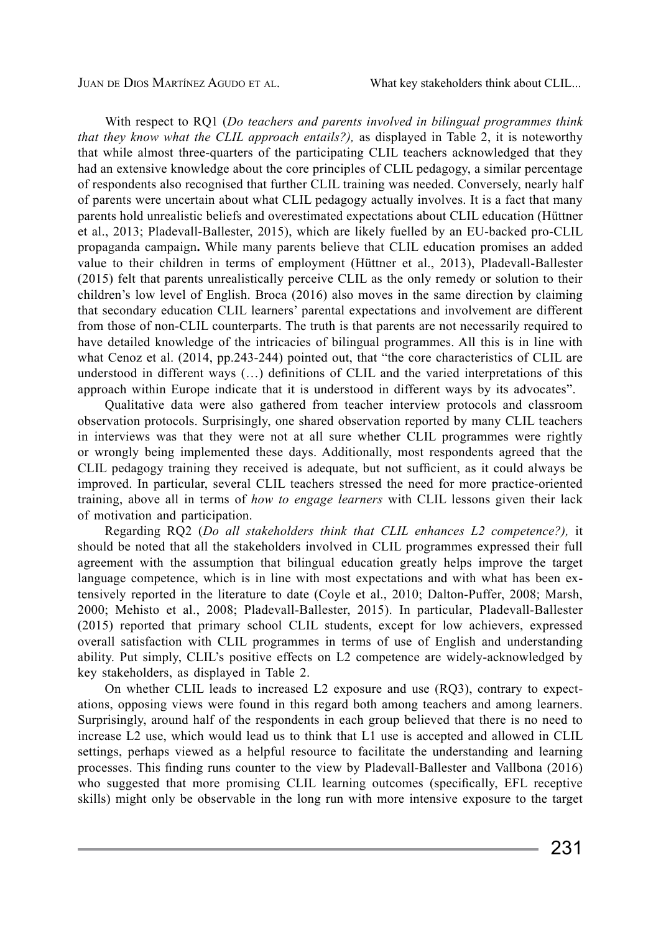Juan de Dios Martínez Agudo et al. What key stakeholders think about CLIL...

With respect to RQ1 (*Do teachers and parents involved in bilingual programmes think that they know what the CLIL approach entails?),* as displayed in Table 2, it is noteworthy that while almost three-quarters of the participating CLIL teachers acknowledged that they had an extensive knowledge about the core principles of CLIL pedagogy, a similar percentage of respondents also recognised that further CLIL training was needed. Conversely, nearly half of parents were uncertain about what CLIL pedagogy actually involves. It is a fact that many parents hold unrealistic beliefs and overestimated expectations about CLIL education (Hüttner et al., 2013; Pladevall-Ballester, 2015), which are likely fuelled by an EU-backed pro-CLIL propaganda campaign**.** While many parents believe that CLIL education promises an added value to their children in terms of employment (Hüttner et al., 2013), Pladevall-Ballester (2015) felt that parents unrealistically perceive CLIL as the only remedy or solution to their children's low level of English. Broca (2016) also moves in the same direction by claiming that secondary education CLIL learners' parental expectations and involvement are different from those of non-CLIL counterparts. The truth is that parents are not necessarily required to have detailed knowledge of the intricacies of bilingual programmes. All this is in line with what Cenoz et al. (2014, pp.243-244) pointed out, that "the core characteristics of CLIL are understood in different ways (…) definitions of CLIL and the varied interpretations of this approach within Europe indicate that it is understood in different ways by its advocates".

Qualitative data were also gathered from teacher interview protocols and classroom observation protocols. Surprisingly, one shared observation reported by many CLIL teachers in interviews was that they were not at all sure whether CLIL programmes were rightly or wrongly being implemented these days. Additionally, most respondents agreed that the CLIL pedagogy training they received is adequate, but not sufficient, as it could always be improved. In particular, several CLIL teachers stressed the need for more practice-oriented training, above all in terms of *how to engage learners* with CLIL lessons given their lack of motivation and participation.

Regarding RQ2 (*Do all stakeholders think that CLIL enhances L2 competence?),* it should be noted that all the stakeholders involved in CLIL programmes expressed their full agreement with the assumption that bilingual education greatly helps improve the target language competence, which is in line with most expectations and with what has been extensively reported in the literature to date (Coyle et al., 2010; Dalton-Puffer, 2008; Marsh, 2000; Mehisto et al., 2008; Pladevall-Ballester, 2015). In particular, Pladevall-Ballester (2015) reported that primary school CLIL students, except for low achievers, expressed overall satisfaction with CLIL programmes in terms of use of English and understanding ability. Put simply, CLIL's positive effects on L2 competence are widely-acknowledged by key stakeholders, as displayed in Table 2.

On whether CLIL leads to increased L2 exposure and use (RQ3), contrary to expectations, opposing views were found in this regard both among teachers and among learners. Surprisingly, around half of the respondents in each group believed that there is no need to increase L2 use, which would lead us to think that L1 use is accepted and allowed in CLIL settings, perhaps viewed as a helpful resource to facilitate the understanding and learning processes. This finding runs counter to the view by Pladevall-Ballester and Vallbona (2016) who suggested that more promising CLIL learning outcomes (specifically, EFL receptive skills) might only be observable in the long run with more intensive exposure to the target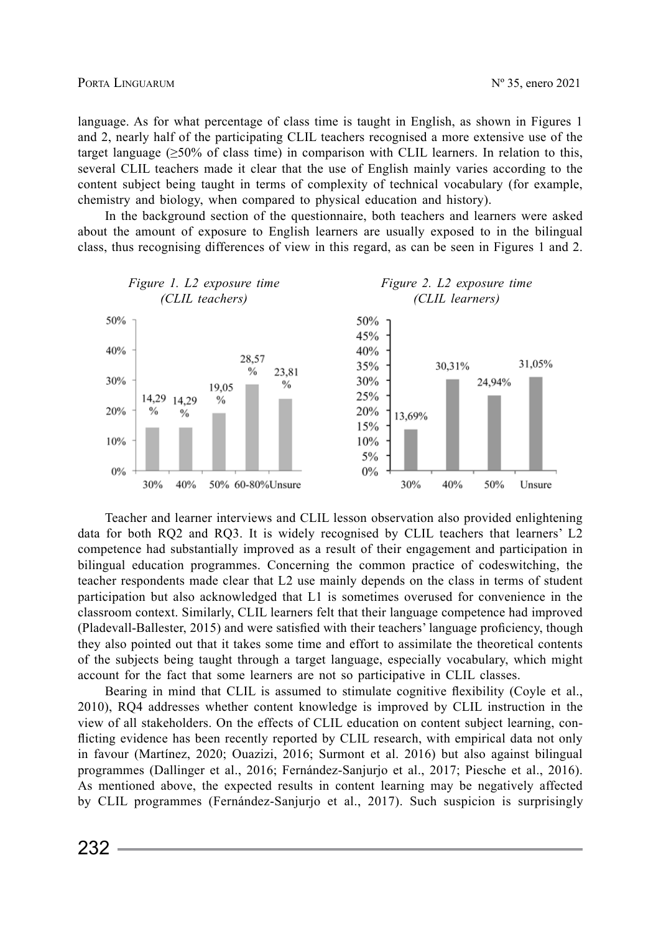language. As for what percentage of class time is taught in English, as shown in Figures 1 and 2, nearly half of the participating CLIL teachers recognised a more extensive use of the target language  $($  > 50% of class time) in comparison with CLIL learners. In relation to this, several CLIL teachers made it clear that the use of English mainly varies according to the content subject being taught in terms of complexity of technical vocabulary (for example, chemistry and biology, when compared to physical education and history).

In the background section of the questionnaire, both teachers and learners were asked about the amount of exposure to English learners are usually exposed to in the bilingual class, thus recognising differences of view in this regard, as can be seen in Figures 1 and 2.



Teacher and learner interviews and CLIL lesson observation also provided enlightening data for both RQ2 and RQ3. It is widely recognised by CLIL teachers that learners' L2 competence had substantially improved as a result of their engagement and participation in bilingual education programmes. Concerning the common practice of codeswitching, the teacher respondents made clear that L2 use mainly depends on the class in terms of student participation but also acknowledged that L1 is sometimes overused for convenience in the classroom context. Similarly, CLIL learners felt that their language competence had improved (Pladevall-Ballester, 2015) and were satisfied with their teachers' language proficiency, though they also pointed out that it takes some time and effort to assimilate the theoretical contents of the subjects being taught through a target language, especially vocabulary, which might account for the fact that some learners are not so participative in CLIL classes.

Bearing in mind that CLIL is assumed to stimulate cognitive flexibility (Coyle et al., 2010), RQ4 addresses whether content knowledge is improved by CLIL instruction in the view of all stakeholders. On the effects of CLIL education on content subject learning, conflicting evidence has been recently reported by CLIL research, with empirical data not only in favour (Martínez, 2020; Ouazizi, 2016; Surmont et al. 2016) but also against bilingual programmes (Dallinger et al., 2016; Fernández-Sanjurjo et al., 2017; Piesche et al., 2016). As mentioned above, the expected results in content learning may be negatively affected by CLIL programmes (Fernández-Sanjurjo et al., 2017). Such suspicion is surprisingly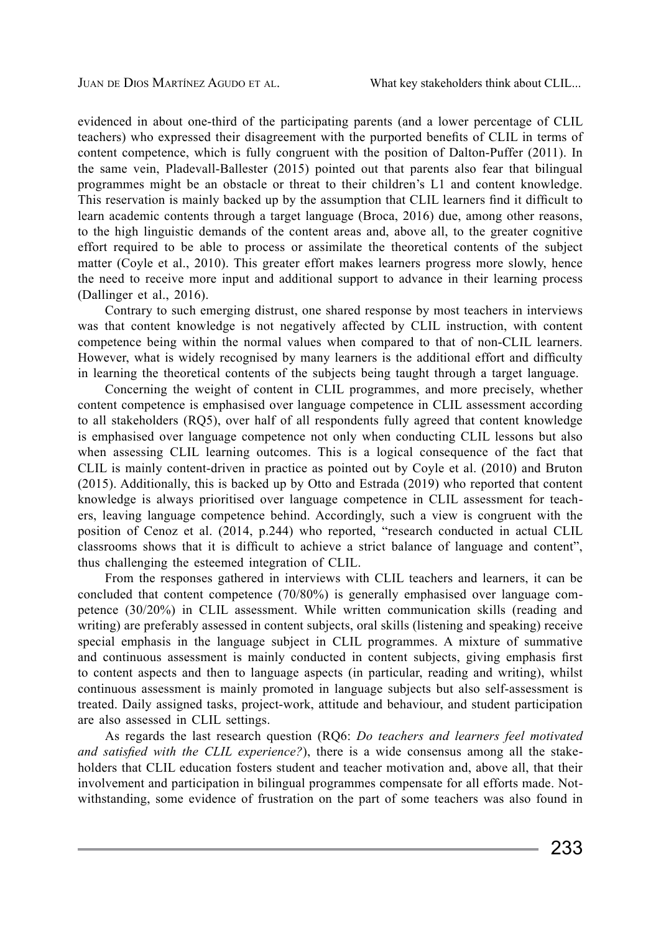evidenced in about one-third of the participating parents (and a lower percentage of CLIL teachers) who expressed their disagreement with the purported benefits of CLIL in terms of content competence, which is fully congruent with the position of Dalton-Puffer (2011). In the same vein, Pladevall-Ballester (2015) pointed out that parents also fear that bilingual programmes might be an obstacle or threat to their children's L1 and content knowledge. This reservation is mainly backed up by the assumption that CLIL learners find it difficult to learn academic contents through a target language (Broca, 2016) due, among other reasons, to the high linguistic demands of the content areas and, above all, to the greater cognitive effort required to be able to process or assimilate the theoretical contents of the subject matter (Coyle et al., 2010). This greater effort makes learners progress more slowly, hence the need to receive more input and additional support to advance in their learning process (Dallinger et al., 2016).

Contrary to such emerging distrust, one shared response by most teachers in interviews was that content knowledge is not negatively affected by CLIL instruction, with content competence being within the normal values when compared to that of non-CLIL learners. However, what is widely recognised by many learners is the additional effort and difficulty in learning the theoretical contents of the subjects being taught through a target language.

Concerning the weight of content in CLIL programmes, and more precisely, whether content competence is emphasised over language competence in CLIL assessment according to all stakeholders (RQ5), over half of all respondents fully agreed that content knowledge is emphasised over language competence not only when conducting CLIL lessons but also when assessing CLIL learning outcomes. This is a logical consequence of the fact that CLIL is mainly content-driven in practice as pointed out by Coyle et al. (2010) and Bruton (2015). Additionally, this is backed up by Otto and Estrada (2019) who reported that content knowledge is always prioritised over language competence in CLIL assessment for teachers, leaving language competence behind. Accordingly, such a view is congruent with the position of Cenoz et al. (2014, p.244) who reported, "research conducted in actual CLIL classrooms shows that it is difficult to achieve a strict balance of language and content", thus challenging the esteemed integration of CLIL.

From the responses gathered in interviews with CLIL teachers and learners, it can be concluded that content competence (70/80%) is generally emphasised over language competence (30/20%) in CLIL assessment. While written communication skills (reading and writing) are preferably assessed in content subjects, oral skills (listening and speaking) receive special emphasis in the language subject in CLIL programmes. A mixture of summative and continuous assessment is mainly conducted in content subjects, giving emphasis first to content aspects and then to language aspects (in particular, reading and writing), whilst continuous assessment is mainly promoted in language subjects but also self-assessment is treated. Daily assigned tasks, project-work, attitude and behaviour, and student participation are also assessed in CLIL settings.

As regards the last research question (RQ6: *Do teachers and learners feel motivated and satisfied with the CLIL experience?*), there is a wide consensus among all the stakeholders that CLIL education fosters student and teacher motivation and, above all, that their involvement and participation in bilingual programmes compensate for all efforts made. Notwithstanding, some evidence of frustration on the part of some teachers was also found in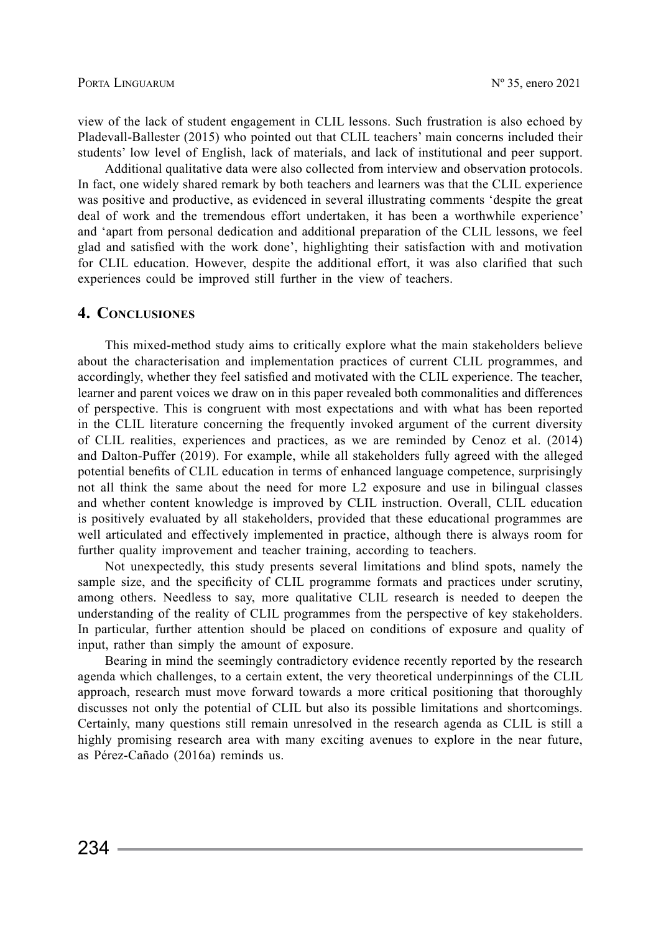view of the lack of student engagement in CLIL lessons. Such frustration is also echoed by Pladevall-Ballester (2015) who pointed out that CLIL teachers' main concerns included their students' low level of English, lack of materials, and lack of institutional and peer support.

Additional qualitative data were also collected from interview and observation protocols. In fact, one widely shared remark by both teachers and learners was that the CLIL experience was positive and productive, as evidenced in several illustrating comments 'despite the great deal of work and the tremendous effort undertaken, it has been a worthwhile experience' and 'apart from personal dedication and additional preparation of the CLIL lessons, we feel glad and satisfied with the work done', highlighting their satisfaction with and motivation for CLIL education. However, despite the additional effort, it was also clarified that such experiences could be improved still further in the view of teachers.

## **4. Conclusiones**

This mixed-method study aims to critically explore what the main stakeholders believe about the characterisation and implementation practices of current CLIL programmes, and accordingly, whether they feel satisfied and motivated with the CLIL experience. The teacher, learner and parent voices we draw on in this paper revealed both commonalities and differences of perspective. This is congruent with most expectations and with what has been reported in the CLIL literature concerning the frequently invoked argument of the current diversity of CLIL realities, experiences and practices, as we are reminded by Cenoz et al. (2014) and Dalton-Puffer (2019). For example, while all stakeholders fully agreed with the alleged potential benefits of CLIL education in terms of enhanced language competence, surprisingly not all think the same about the need for more L2 exposure and use in bilingual classes and whether content knowledge is improved by CLIL instruction. Overall, CLIL education is positively evaluated by all stakeholders, provided that these educational programmes are well articulated and effectively implemented in practice, although there is always room for further quality improvement and teacher training, according to teachers.

Not unexpectedly, this study presents several limitations and blind spots, namely the sample size, and the specificity of CLIL programme formats and practices under scrutiny, among others. Needless to say, more qualitative CLIL research is needed to deepen the understanding of the reality of CLIL programmes from the perspective of key stakeholders. In particular, further attention should be placed on conditions of exposure and quality of input, rather than simply the amount of exposure.

Bearing in mind the seemingly contradictory evidence recently reported by the research agenda which challenges, to a certain extent, the very theoretical underpinnings of the CLIL approach, research must move forward towards a more critical positioning that thoroughly discusses not only the potential of CLIL but also its possible limitations and shortcomings. Certainly, many questions still remain unresolved in the research agenda as CLIL is still a highly promising research area with many exciting avenues to explore in the near future, as Pérez-Cañado (2016a) reminds us.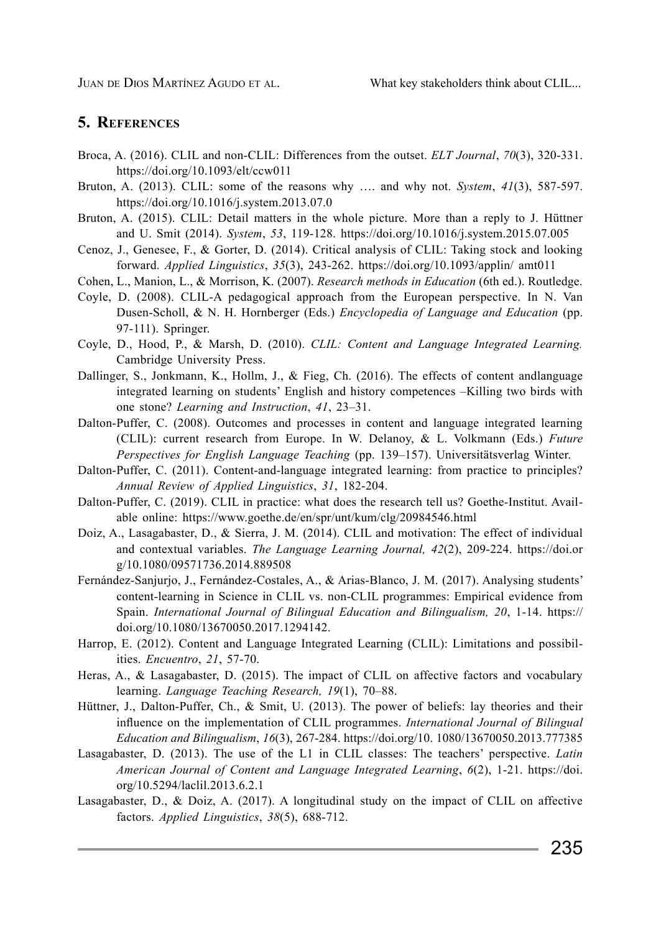# **5. References**

- Broca, A. (2016). CLIL and non-CLIL: Differences from the outset. *ELT Journal*, *70*(3), 320-331. https://doi.org/10.1093/elt/ccw011
- Bruton, A. (2013). CLIL: some of the reasons why …. and why not. *System*, *41*(3), 587-597. https://doi.org/10.1016/j.system.2013.07.0
- Bruton, A. (2015). CLIL: Detail matters in the whole picture. More than a reply to J. Hüttner and U. Smit (2014). *System*, *53*, 119-128. https://doi.org/10.1016/j.system.2015.07.005
- Cenoz, J., Genesee, F., & Gorter, D. (2014). Critical analysis of CLIL: Taking stock and looking forward. *Applied Linguistics*, *35*(3), 243-262. https://doi.org/10.1093/applin/ amt011
- Cohen, L., Manion, L., & Morrison, K. (2007). *Research methods in Education* (6th ed.). Routledge.
- Coyle, D. (2008). CLIL-A pedagogical approach from the European perspective. In N. Van Dusen-Scholl, & N. H. Hornberger (Eds.) *Encyclopedia of Language and Education* (pp. 97-111). Springer.
- Coyle, D., Hood, P., & Marsh, D. (2010). *CLIL: Content and Language Integrated Learning.* Cambridge University Press.
- Dallinger, S., Jonkmann, K., Hollm, J., & Fieg, Ch. (2016). The effects of content and anguage integrated learning on students' English and history competences –Killing two birds with one stone? *Learning and Instruction*, *41*, 23–31.
- Dalton-Puffer, C. (2008). Outcomes and processes in content and language integrated learning (CLIL): current research from Europe. In W. Delanoy, & L. Volkmann (Eds.) *Future Perspectives for English Language Teaching* (pp. 139–157). Universitätsverlag Winter.
- Dalton-Puffer, C. (2011). Content-and-language integrated learning: from practice to principles? *Annual Review of Applied Linguistics*, *31*, 182-204.
- Dalton-Puffer, C. (2019). CLIL in practice: what does the research tell us? Goethe-Institut. Available online: https://www.goethe.de/en/spr/unt/kum/clg/20984546.html
- Doiz, A., Lasagabaster, D., & Sierra, J. M. (2014). CLIL and motivation: The effect of individual and contextual variables. *The Language Learning Journal, 42*(2), 209-224. https://doi.or g/10.1080/09571736.2014.889508
- Fernández-Sanjurjo, J., Fernández-Costales, A., & Arias-Blanco, J. M. (2017). Analysing students' content-learning in Science in CLIL vs. non-CLIL programmes: Empirical evidence from Spain. *International Journal of Bilingual Education and Bilingualism, 20*, 1-14. https:// doi.org/10.1080/13670050.2017.1294142.
- Harrop, E. (2012). Content and Language Integrated Learning (CLIL): Limitations and possibilities. *Encuentro*, *21*, 57-70.
- Heras, A., & Lasagabaster, D. (2015). The impact of CLIL on affective factors and vocabulary learning. *Language Teaching Research, 19*(1), 70–88.
- Hüttner, J., Dalton-Puffer, Ch., & Smit, U. (2013). The power of beliefs: lay theories and their influence on the implementation of CLIL programmes. *International Journal of Bilingual Education and Bilingualism*, *16*(3), 267-284. https://doi.org/10. 1080/13670050.2013.777385
- Lasagabaster, D. (2013). The use of the L1 in CLIL classes: The teachers' perspective. *Latin American Journal of Content and Language Integrated Learning*, *6*(2), 1-21. https://doi. org/10.5294/laclil.2013.6.2.1
- Lasagabaster, D., & Doiz, A. (2017). A longitudinal study on the impact of CLIL on affective factors. *Applied Linguistics*, *38*(5), 688-712.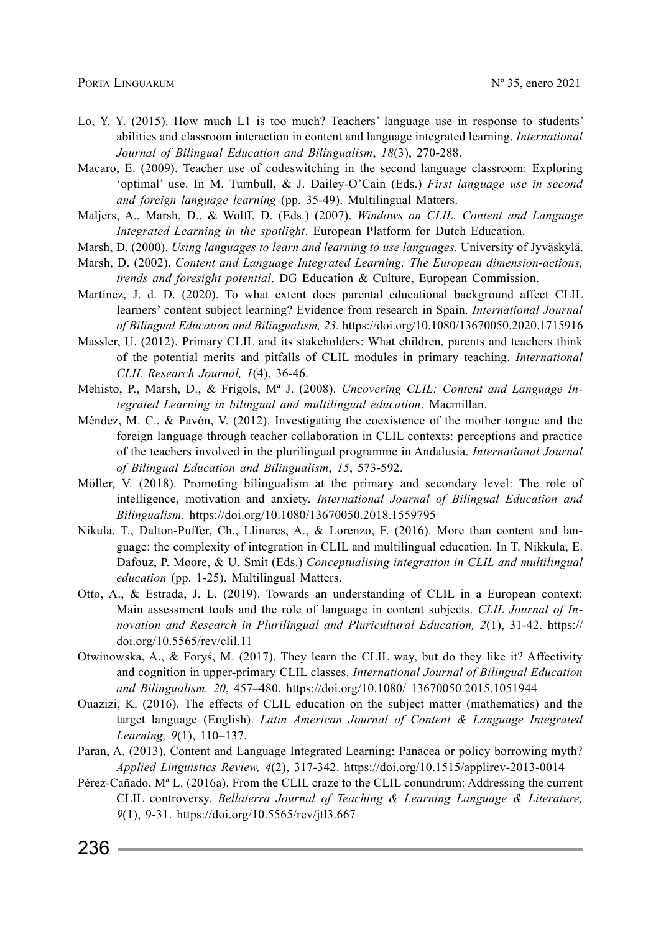- Lo, Y. Y. (2015). How much L1 is too much? Teachers' language use in response to students' abilities and classroom interaction in content and language integrated learning. *International Journal of Bilingual Education and Bilingualism*, *18*(3), 270-288.
- Macaro, E. (2009). Teacher use of codeswitching in the second language classroom: Exploring 'optimal' use. In M. Turnbull, & J. Dailey-O'Cain (Eds.) *First language use in second and foreign language learning* (pp. 35-49). Multilingual Matters.
- Maljers, A., Marsh, D., & Wolff, D. (Eds.) (2007). *Windows on CLIL. Content and Language Integrated Learning in the spotlight*. European Platform for Dutch Education.
- Marsh, D. (2000). *Using languages to learn and learning to use languages.* University of Jyväskylä.
- Marsh, D. (2002). *Content and Language Integrated Learning: The European dimension-actions, trends and foresight potential*. DG Education & Culture, European Commission.
- Martínez, J. d. D. (2020). To what extent does parental educational background affect CLIL learners' content subject learning? Evidence from research in Spain. *International Journal of Bilingual Education and Bilingualism, 23.* https://doi.org/10.1080/13670050.2020.1715916
- Massler, U. (2012). Primary CLIL and its stakeholders: What children, parents and teachers think of the potential merits and pitfalls of CLIL modules in primary teaching. *International CLIL Research Journal, 1*(4), 36-46.
- Mehisto, P., Marsh, D., & Frigols, Mª J. (2008). *Uncovering CLIL: Content and Language Integrated Learning in bilingual and multilingual education*. Macmillan.
- Méndez, M. C., & Pavón, V. (2012). Investigating the coexistence of the mother tongue and the foreign language through teacher collaboration in CLIL contexts: perceptions and practice of the teachers involved in the plurilingual programme in Andalusia. *International Journal of Bilingual Education and Bilingualism*, *15*, 573-592.
- Möller, V. (2018). Promoting bilingualism at the primary and secondary level: The role of intelligence, motivation and anxiety. *International Journal of Bilingual Education and Bilingualism*. https://doi.org/10.1080/13670050.2018.1559795
- Nikula, T., Dalton-Puffer, Ch., Llinares, A., & Lorenzo, F. (2016). More than content and language: the complexity of integration in CLIL and multilingual education*.* In T. Nikkula, E. Dafouz, P. Moore, & U. Smit (Eds.) *Conceptualising integration in CLIL and multilingual education* (pp. 1-25). Multilingual Matters.
- Otto, A., & Estrada, J. L. (2019). Towards an understanding of CLIL in a European context: Main assessment tools and the role of language in content subjects. *CLIL Journal of Innovation and Research in Plurilingual and Pluricultural Education, 2*(1), 31-42. https:// doi.org/10.5565/rev/clil.11
- Otwinowska, A., & Foryś, M. (2017). They learn the CLIL way, but do they like it? Affectivity and cognition in upper-primary CLIL classes. *International Journal of Bilingual Education and Bilingualism, 20*, 457–480. https://doi.org/10.1080/ 13670050.2015.1051944
- Ouazizi, K. (2016). The effects of CLIL education on the subject matter (mathematics) and the target language (English). *Latin American Journal of Content & Language Integrated Learning, 9*(1), 110–137.
- Paran, A. (2013). Content and Language Integrated Learning: Panacea or policy borrowing myth? *Applied Linguistics Review, 4*(2), 317-342. https://doi.org/10.1515/applirev-2013-0014
- Pérez-Cañado, Mª L. (2016a). From the CLIL craze to the CLIL conundrum: Addressing the current CLIL controversy. *Bellaterra Journal of Teaching & Learning Language & Literature, 9*(1), 9-31. https://doi.org/10.5565/rev/jtl3.667

 $236 -$